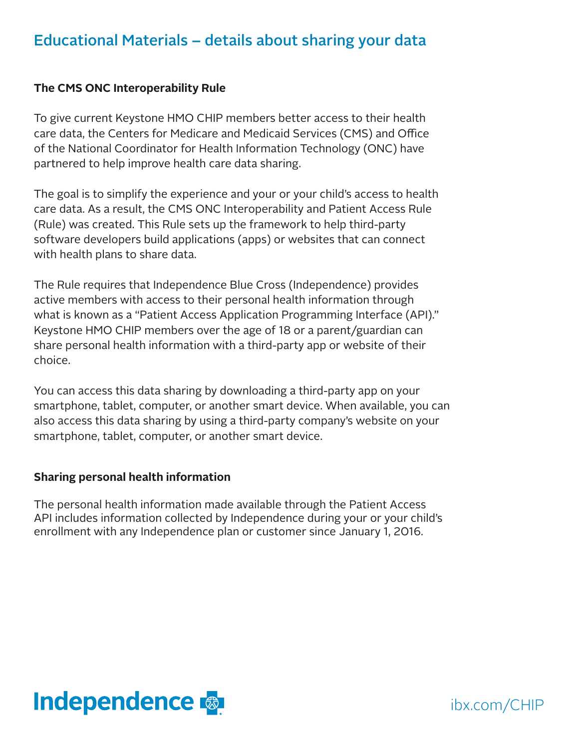#### Educational Materials – details about sharing your data

#### **The CMS ONC Interoperability Rule**

To give current Keystone HMO CHIP members better access to their health care data, the Centers for Medicare and Medicaid Services (CMS) and Office of the National Coordinator for Health Information Technology (ONC) have partnered to help improve health care data sharing.

The goal is to simplify the experience and your or your child's access to health care data. As a result, the CMS ONC Interoperability and Patient Access Rule (Rule) was created. This Rule sets up the framework to help third-party software developers build applications (apps) or websites that can connect with health plans to share data.

The Rule requires that Independence Blue Cross (Independence) provides active members with access to their personal health information through what is known as a "Patient Access Application Programming Interface (API)." Keystone HMO CHIP members over the age of 18 or a parent/guardian can share personal health information with a third-party app or website of their choice.

You can access this data sharing by downloading a third-party app on your smartphone, tablet, computer, or another smart device. When available, you can also access this data sharing by using a third-party company's website on your smartphone, tablet, computer, or another smart device.

#### **Sharing personal health information**

The personal health information made available through the Patient Access API includes information collected by Independence during your or your child's enrollment with any Independence plan or customer since January 1, 2016.



ibx.com/CHIP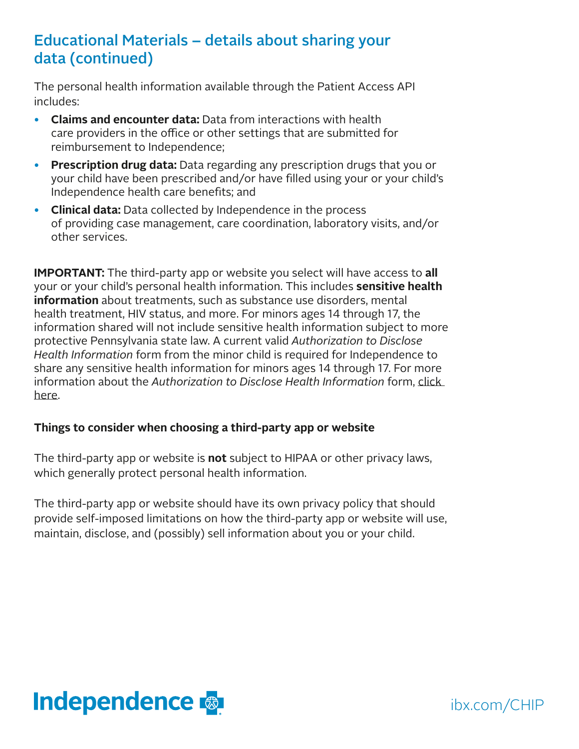## Educational Materials – details about sharing your data (continued)

The personal health information available through the Patient Access API includes:

- **Claims and encounter data:** Data from interactions with health care providers in the office or other settings that are submitted for reimbursement to Independence;
- **Prescription drug data:** Data regarding any prescription drugs that you or your child have been prescribed and/or have filled using your or your child's Independence health care benefits; and
- **Clinical data:** Data collected by Independence in the process of providing case management, care coordination, laboratory visits, and/or other services.

**IMPORTANT:** The third-party app or website you select will have access to **all** your or your child's personal health information. This includes **sensitive health information** about treatments, such as substance use disorders, mental health treatment, HIV status, and more. For minors ages 14 through 17, the information shared will not include sensitive health information subject to more protective Pennsylvania state law. A current valid *Authorization to Disclose Health Information* form from the minor child is required for Independence to share any sensitive health information for minors ages 14 through 17. For more information about the *Authorization to Disclose Health Information* form, [click](https://ibxpress.ibx.com/eAuthorizationWeb/authorization/showform)  [here](https://ibxpress.ibx.com/eAuthorizationWeb/authorization/showform).

#### **Things to consider when choosing a third-party app or website**

The third-party app or website is **not** subject to HIPAA or other privacy laws, which generally protect personal health information.

The third-party app or website should have its own privacy policy that should provide self-imposed limitations on how the third-party app or website will use, maintain, disclose, and (possibly) sell information about you or your child.



ibx.com/CHIP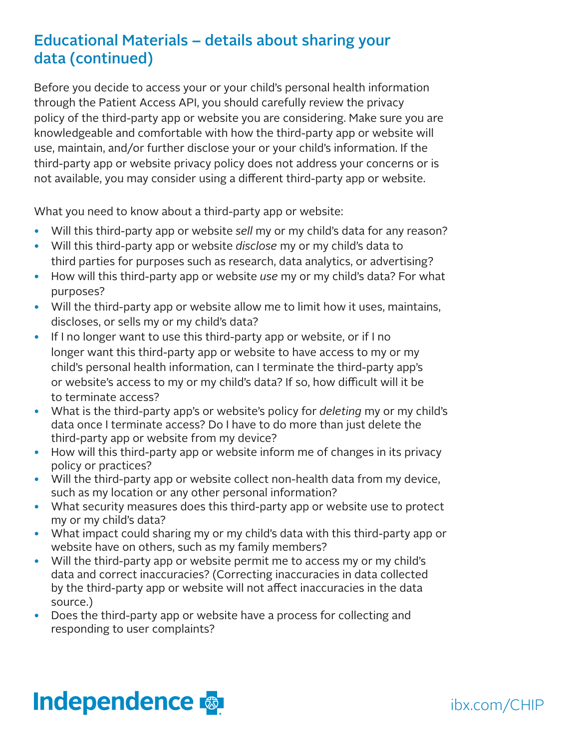# Educational Materials – details about sharing your data (continued)

Before you decide to access your or your child's personal health information through the Patient Access API, you should carefully review the privacy policy of the third-party app or website you are considering. Make sure you are knowledgeable and comfortable with how the third-party app or website will use, maintain, and/or further disclose your or your child's information. If the third-party app or website privacy policy does not address your concerns or is not available, you may consider using a different third-party app or website.

What you need to know about a third-party app or website:

- Will this third-party app or website *sell* my or my child's data for any reason?
- Will this third-party app or website *disclose* my or my child's data to third parties for purposes such as research, data analytics, or advertising?
- How will this third-party app or website *use* my or my child's data? For what purposes?
- Will the third-party app or website allow me to limit how it uses, maintains, discloses, or sells my or my child's data?
- If I no longer want to use this third-party app or website, or if I no longer want this third-party app or website to have access to my or my child's personal health information, can I terminate the third-party app's or website's access to my or my child's data? If so, how difficult will it be to terminate access?
- What is the third-party app's or website's policy for *deleting* my or my child's data once I terminate access? Do I have to do more than just delete the third-party app or website from my device?
- How will this third-party app or website inform me of changes in its privacy policy or practices?
- Will the third-party app or website collect non-health data from my device, such as my location or any other personal information?
- What security measures does this third-party app or website use to protect my or my child's data?
- What impact could sharing my or my child's data with this third-party app or website have on others, such as my family members?
- Will the third-party app or website permit me to access my or my child's data and correct inaccuracies? (Correcting inaccuracies in data collected by the third-party app or website will not affect inaccuracies in the data source.)
- Does the third-party app or website have a process for collecting and responding to user complaints?



ibx.com/CHIP